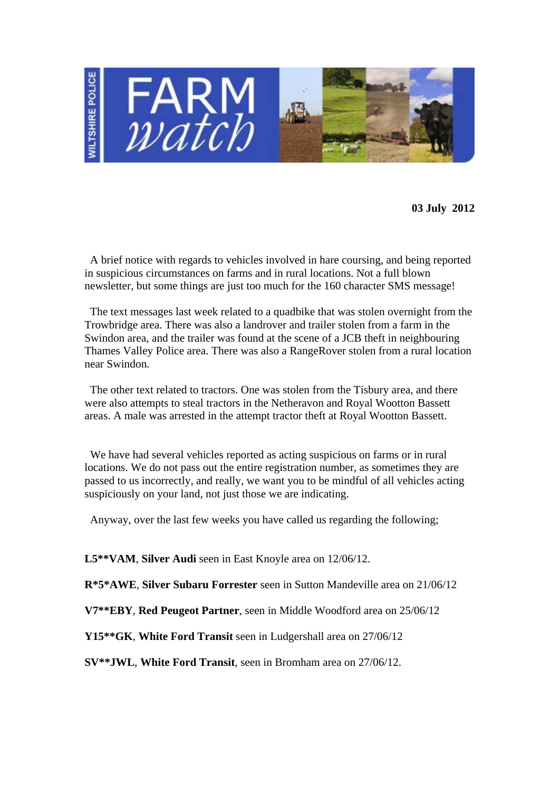

**03 July 2012** 

 A brief notice with regards to vehicles involved in hare coursing, and being reported in suspicious circumstances on farms and in rural locations. Not a full blown newsletter, but some things are just too much for the 160 character SMS message!

 The text messages last week related to a quadbike that was stolen overnight from the Trowbridge area. There was also a landrover and trailer stolen from a farm in the Swindon area, and the trailer was found at the scene of a JCB theft in neighbouring Thames Valley Police area. There was also a RangeRover stolen from a rural location near Swindon.

 The other text related to tractors. One was stolen from the Tisbury area, and there were also attempts to steal tractors in the Netheravon and Royal Wootton Bassett areas. A male was arrested in the attempt tractor theft at Royal Wootton Bassett.

 We have had several vehicles reported as acting suspicious on farms or in rural locations. We do not pass out the entire registration number, as sometimes they are passed to us incorrectly, and really, we want you to be mindful of all vehicles acting suspiciously on your land, not just those we are indicating.

Anyway, over the last few weeks you have called us regarding the following;

**L5\*\*VAM**, **Silver Audi** seen in East Knoyle area on 12/06/12.

**R\*5\*AWE**, **Silver Subaru Forrester** seen in Sutton Mandeville area on 21/06/12

**V7\*\*EBY**, **Red Peugeot Partner**, seen in Middle Woodford area on 25/06/12

**Y15\*\*GK**, **White Ford Transit** seen in Ludgershall area on 27/06/12

**SV\*\*JWL**, **White Ford Transit**, seen in Bromham area on 27/06/12.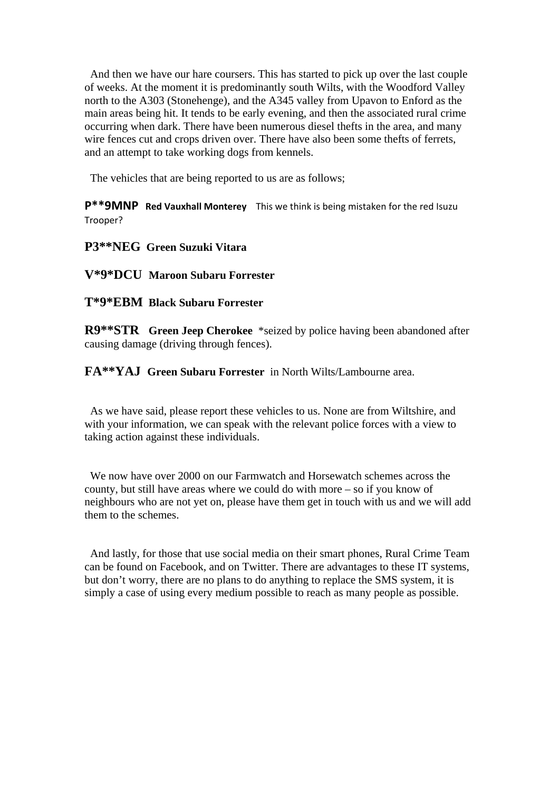And then we have our hare coursers. This has started to pick up over the last couple of weeks. At the moment it is predominantly south Wilts, with the Woodford Valley north to the A303 (Stonehenge), and the A345 valley from Upavon to Enford as the main areas being hit. It tends to be early evening, and then the associated rural crime occurring when dark. There have been numerous diesel thefts in the area, and many wire fences cut and crops driven over. There have also been some thefts of ferrets, and an attempt to take working dogs from kennels.

The vehicles that are being reported to us are as follows;

**P\*\*9MNP Red Vauxhall Monterey** This we think is being mistaken for the red Isuzu Trooper? 

**P3\*\*NEG Green Suzuki Vitara** 

**V\*9\*DCU Maroon Subaru Forrester** 

**T\*9\*EBM Black Subaru Forrester** 

**R9\*\*STR Green Jeep Cherokee** \*seized by police having been abandoned after causing damage (driving through fences).

**FA\*\*YAJ Green Subaru Forrester** in North Wilts/Lambourne area.

 As we have said, please report these vehicles to us. None are from Wiltshire, and with your information, we can speak with the relevant police forces with a view to taking action against these individuals.

 We now have over 2000 on our Farmwatch and Horsewatch schemes across the county, but still have areas where we could do with more – so if you know of neighbours who are not yet on, please have them get in touch with us and we will add them to the schemes.

 And lastly, for those that use social media on their smart phones, Rural Crime Team can be found on Facebook, and on Twitter. There are advantages to these IT systems, but don't worry, there are no plans to do anything to replace the SMS system, it is simply a case of using every medium possible to reach as many people as possible.